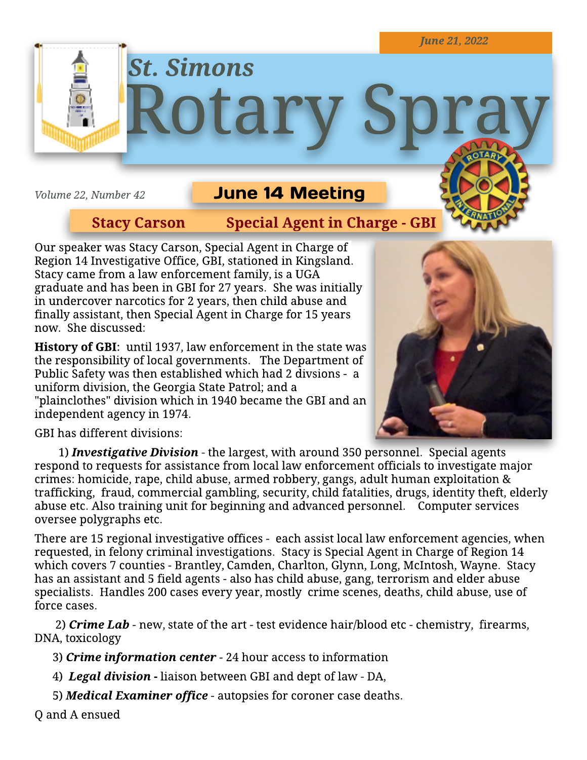**Volume 22, Number 42**

### **June 14 Meeting**

otary !

### Stacy Carson Special Agent in Charge - GBI

Our speaker was Stacy Carson, Special Agent in Charge of Region 14 Investigative Office, GBI, stationed in Kingsland. Stacy came from a law enforcement family, is a UGA graduate and has been in GBI for 27 years. She was initially in undercover narcotics for 2 years, then child abuse and finally assistant, then Special Agent in Charge for 15 years now. She discussed:

**St. Simons**

History of GBI: until 1937, law enforcement in the state was the responsibility of local governments. The Department of Public Safety was then established which had 2 divsions - a uniform division, the Georgia State Patrol; and a "plainclothes" division which in 1940 became the GBI and an independent agency in 1974.



GBI has different divisions:

1) **Investigative Division** - the largest, with around 350 personnel. Special agents respond to requests for assistance from local law enforcement officials to investigate major crimes: homicide, rape, child abuse, armed robbery, gangs, adult human exploitation & trafficking, fraud, commercial gambling, security, child fatalities, drugs, identity theft, elderly abuse etc. Also training unit for beginning and advanced personnel. Computer services oversee polygraphs etc.

There are 15 regional investigative offices - each assist local law enforcement agencies, when requested, in felony criminal investigations. Stacy is Special Agent in Charge of Region 14 which covers 7 counties - Brantley, Camden, Charlton, Glynn, Long, McIntosh, Wayne. Stacy has an assistant and 5 field agents - also has child abuse, gang, terrorism and elder abuse specialists. Handles 200 cases every year, mostly crime scenes, deaths, child abuse, use of force cases.

2) **Crime Lab** - new, state of the art - test evidence hair/blood etc - chemistry, firearms, DNA, toxicology

3) **Crime infor mation center -** 24 hour access to information

- 4) **Legal division** liaison between GBI and dept of law DA,
- 5) **Medical Examiner office** autopsies for coroner case deaths.

Q and A ensued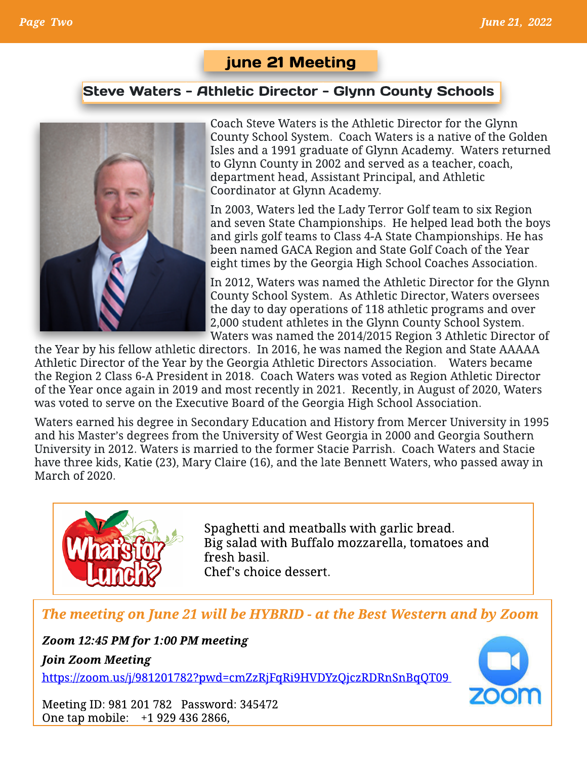### june 21 Meeting

### Steve Waters - Athletic Director - Glynn County Schools



Coach Steve Waters is the Athletic Director for the Glynn County School System. Coach Waters is a native of the Golden Isles and a 1991 graduate of Glynn Academy. Waters returned to Glynn County in 2002 and ser ved as a teacher, coach, department head, Assistant Principal, and Athletic Coordinator at Glynn Academy.

In 2003, Waters led the Lady Terror Golf team to six Region and seven State Championships. He helped lead both the boys and girls golf teams to Class 4-A State Championships. He has been named GACA Region and State Golf Coach of the Year eight times by the Georgia High School Coaches Association.

In 2012, Waters was named the Athletic Director for the Glynn County School System. As Athletic Director, Waters oversees the day to day operations of 118 athletic programs and over 2,000 student athletes in the Glynn County School System. Waters was named the 2014/2015 Region 3 Athletic Director of

the Year by his fellow athletic directors. In 2016, he was named the Region and State AAAAA Athletic Director of the Year by the Georgia Athletic Directors Association. Waters became the Region 2 Class 6-A President in 2018. Coach Waters was voted as Region Athletic Director of the Year once again in 2019 and most recently in 2021. Recently, in August of 2020, Waters was voted to serve on the Executive Board of the Georgia High School Association.

Waters earned his degree in Secondary Education and History from Mercer University in 1995 and his Master's degrees from the University of West Georgia in 2000 and Georgia Southern University in 2012. Waters is married to the former Stacie Parrish. Coach Waters and Stacie have three kids, Katie (23), Mary Claire (16), and the late Bennett Waters, who passed away in March of 2020.



Spaghetti and meatballs with garlic bread. Big salad with Buffalo mozzarella, tomatoes and fresh basil. Chef's choice dessert.

**The meeting on June 21 will be HYBRID - at the Best Wester n and by Zoom**

**Zoom 12:45 PM for 1:00 PM meeting Join Zoom Meeting**

<https://zoom.us/j/981201782?pwd=cmZzRjFqRi9HVDYzQjczRDRnSnBqQT09>



Meeting ID: 981 201 782 Password: 345472 One tap mobile: +1 929 436 2866,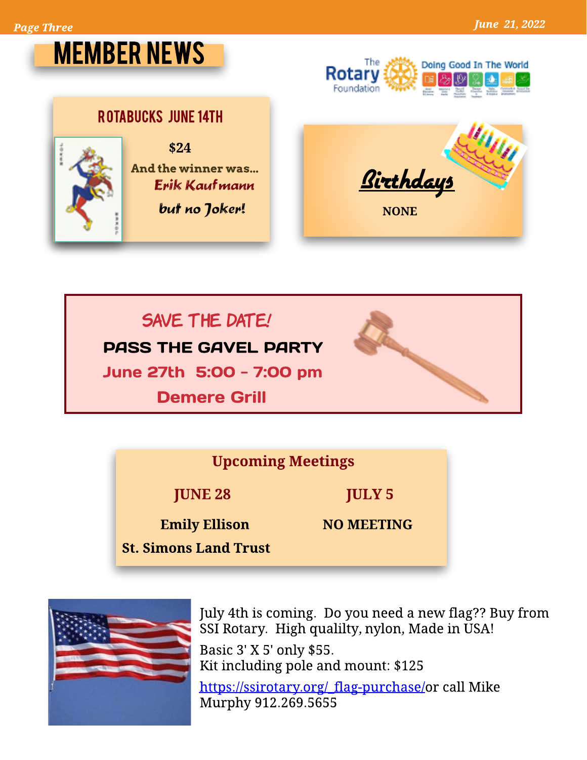# **MEMBER NEWS**



# **ROTABUCKS JUNE 14TH** \$24 And the winner was... Erik Kaufmann but no Joker!



# SAVE THE DATE! **PASS THE GAVEL PARTY** June 27th 5:00 - 7:00 pm **Demere Grill**

**Upcoming Meetings** 

**JUNE 28** 

**JULY 5** 

**Emily Ellison** 

**NO MEETING** 

**St. Simons Land Trust** 



July 4th is coming. Do you need a new flag?? Buy from SSI Rotary. High qualilty, nylon, Made in USA! Basic 3' X 5' only \$55.

Kit including pole and mount: \$125

https://ssirotary.org/\_flag-purchase/or call Mike Murphy 912.269.5655